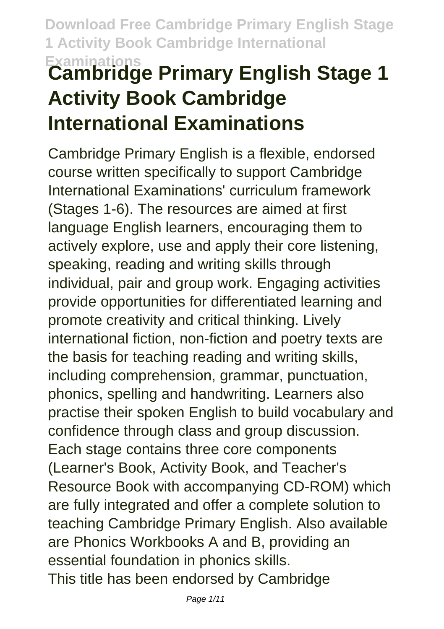# **Examinations Cambridge Primary English Stage 1 Activity Book Cambridge International Examinations**

Cambridge Primary English is a flexible, endorsed course written specifically to support Cambridge International Examinations' curriculum framework (Stages 1-6). The resources are aimed at first language English learners, encouraging them to actively explore, use and apply their core listening, speaking, reading and writing skills through individual, pair and group work. Engaging activities provide opportunities for differentiated learning and promote creativity and critical thinking. Lively international fiction, non-fiction and poetry texts are the basis for teaching reading and writing skills, including comprehension, grammar, punctuation, phonics, spelling and handwriting. Learners also practise their spoken English to build vocabulary and confidence through class and group discussion. Each stage contains three core components (Learner's Book, Activity Book, and Teacher's Resource Book with accompanying CD-ROM) which are fully integrated and offer a complete solution to teaching Cambridge Primary English. Also available are Phonics Workbooks A and B, providing an essential foundation in phonics skills. This title has been endorsed by Cambridge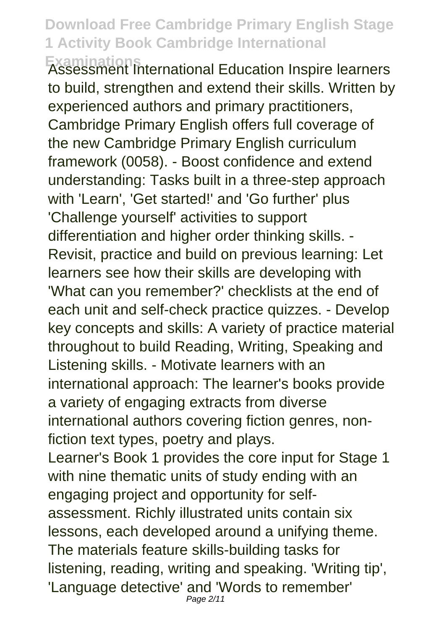**Examinations** Assessment International Education Inspire learners to build, strengthen and extend their skills. Written by experienced authors and primary practitioners, Cambridge Primary English offers full coverage of the new Cambridge Primary English curriculum framework (0058). - Boost confidence and extend understanding: Tasks built in a three-step approach with 'Learn', 'Get started!' and 'Go further' plus 'Challenge yourself' activities to support differentiation and higher order thinking skills. - Revisit, practice and build on previous learning: Let learners see how their skills are developing with 'What can you remember?' checklists at the end of each unit and self-check practice quizzes. - Develop key concepts and skills: A variety of practice material throughout to build Reading, Writing, Speaking and Listening skills. - Motivate learners with an international approach: The learner's books provide a variety of engaging extracts from diverse international authors covering fiction genres, nonfiction text types, poetry and plays. Learner's Book 1 provides the core input for Stage 1 with nine thematic units of study ending with an engaging project and opportunity for selfassessment. Richly illustrated units contain six lessons, each developed around a unifying theme. The materials feature skills-building tasks for listening, reading, writing and speaking. 'Writing tip', 'Language detective' and 'Words to remember'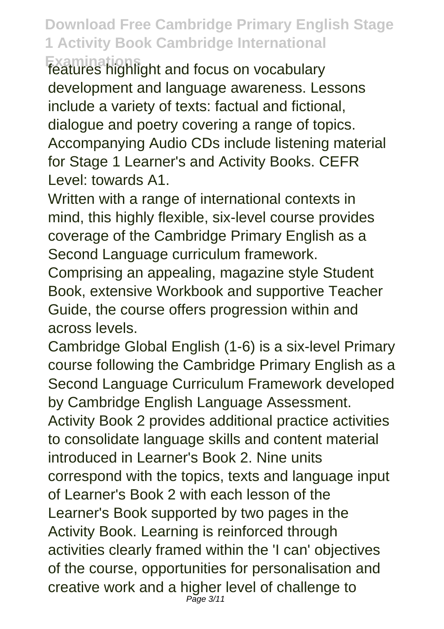**Examinations** features highlight and focus on vocabulary development and language awareness. Lessons include a variety of texts: factual and fictional, dialogue and poetry covering a range of topics. Accompanying Audio CDs include listening material for Stage 1 Learner's and Activity Books. CEFR Level: towards A1

Written with a range of international contexts in mind, this highly flexible, six-level course provides coverage of the Cambridge Primary English as a Second Language curriculum framework.

Comprising an appealing, magazine style Student Book, extensive Workbook and supportive Teacher Guide, the course offers progression within and across levels.

Cambridge Global English (1-6) is a six-level Primary course following the Cambridge Primary English as a Second Language Curriculum Framework developed by Cambridge English Language Assessment. Activity Book 2 provides additional practice activities to consolidate language skills and content material introduced in Learner's Book 2. Nine units correspond with the topics, texts and language input of Learner's Book 2 with each lesson of the Learner's Book supported by two pages in the Activity Book. Learning is reinforced through activities clearly framed within the 'I can' objectives of the course, opportunities for personalisation and creative work and a higher level of challenge to Page 3/11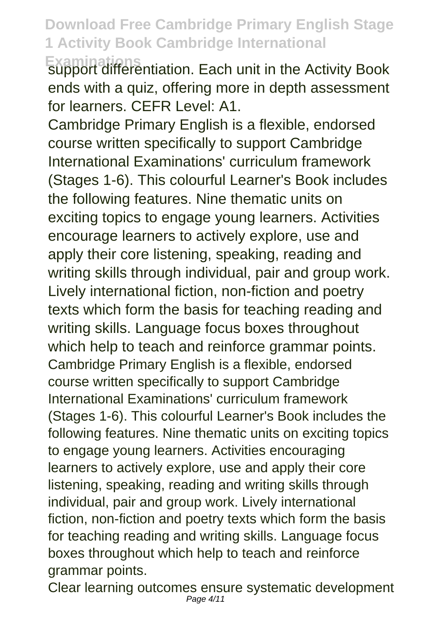**Examinations** support differentiation. Each unit in the Activity Book ends with a quiz, offering more in depth assessment for learners. CEFR Level: A1.

Cambridge Primary English is a flexible, endorsed course written specifically to support Cambridge International Examinations' curriculum framework (Stages 1-6). This colourful Learner's Book includes the following features. Nine thematic units on exciting topics to engage young learners. Activities encourage learners to actively explore, use and apply their core listening, speaking, reading and writing skills through individual, pair and group work. Lively international fiction, non-fiction and poetry texts which form the basis for teaching reading and writing skills. Language focus boxes throughout which help to teach and reinforce grammar points. Cambridge Primary English is a flexible, endorsed course written specifically to support Cambridge International Examinations' curriculum framework (Stages 1-6). This colourful Learner's Book includes the following features. Nine thematic units on exciting topics to engage young learners. Activities encouraging learners to actively explore, use and apply their core listening, speaking, reading and writing skills through individual, pair and group work. Lively international fiction, non-fiction and poetry texts which form the basis for teaching reading and writing skills. Language focus boxes throughout which help to teach and reinforce grammar points.

Clear learning outcomes ensure systematic development Page 4/11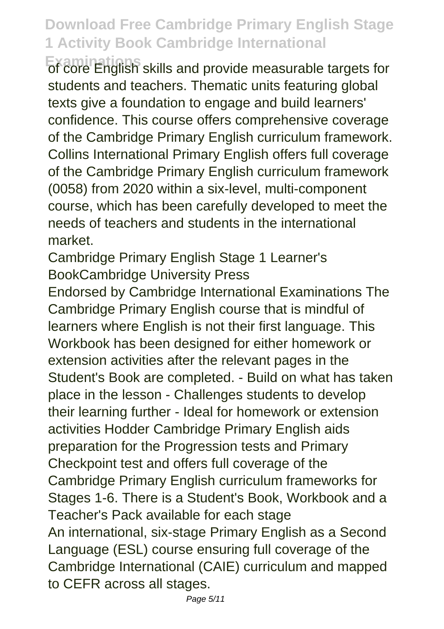**Examinations** of core English skills and provide measurable targets for students and teachers. Thematic units featuring global texts give a foundation to engage and build learners' confidence. This course offers comprehensive coverage of the Cambridge Primary English curriculum framework. Collins International Primary English offers full coverage of the Cambridge Primary English curriculum framework (0058) from 2020 within a six-level, multi-component course, which has been carefully developed to meet the needs of teachers and students in the international market.

Cambridge Primary English Stage 1 Learner's BookCambridge University Press

Endorsed by Cambridge International Examinations The Cambridge Primary English course that is mindful of learners where English is not their first language. This Workbook has been designed for either homework or extension activities after the relevant pages in the Student's Book are completed. - Build on what has taken place in the lesson - Challenges students to develop their learning further - Ideal for homework or extension activities Hodder Cambridge Primary English aids preparation for the Progression tests and Primary Checkpoint test and offers full coverage of the Cambridge Primary English curriculum frameworks for Stages 1-6. There is a Student's Book, Workbook and a Teacher's Pack available for each stage An international, six-stage Primary English as a Second Language (ESL) course ensuring full coverage of the Cambridge International (CAIE) curriculum and mapped to CEFR across all stages.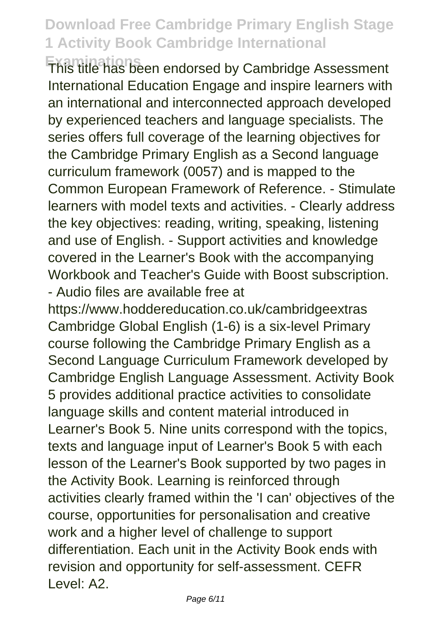**Examinations** This title has been endorsed by Cambridge Assessment International Education Engage and inspire learners with an international and interconnected approach developed by experienced teachers and language specialists. The series offers full coverage of the learning objectives for the Cambridge Primary English as a Second language curriculum framework (0057) and is mapped to the Common European Framework of Reference. - Stimulate learners with model texts and activities. - Clearly address the key objectives: reading, writing, speaking, listening and use of English. - Support activities and knowledge covered in the Learner's Book with the accompanying Workbook and Teacher's Guide with Boost subscription. - Audio files are available free at

https://www.hoddereducation.co.uk/cambridgeextras Cambridge Global English (1-6) is a six-level Primary course following the Cambridge Primary English as a Second Language Curriculum Framework developed by Cambridge English Language Assessment. Activity Book 5 provides additional practice activities to consolidate language skills and content material introduced in Learner's Book 5. Nine units correspond with the topics, texts and language input of Learner's Book 5 with each lesson of the Learner's Book supported by two pages in the Activity Book. Learning is reinforced through activities clearly framed within the 'I can' objectives of the course, opportunities for personalisation and creative work and a higher level of challenge to support differentiation. Each unit in the Activity Book ends with revision and opportunity for self-assessment. CEFR Level: A2.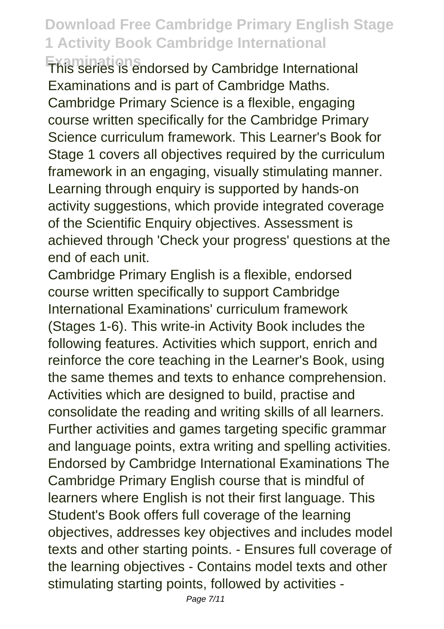**Examinations** This series is endorsed by Cambridge International Examinations and is part of Cambridge Maths. Cambridge Primary Science is a flexible, engaging course written specifically for the Cambridge Primary Science curriculum framework. This Learner's Book for Stage 1 covers all objectives required by the curriculum framework in an engaging, visually stimulating manner. Learning through enquiry is supported by hands-on activity suggestions, which provide integrated coverage of the Scientific Enquiry objectives. Assessment is achieved through 'Check your progress' questions at the end of each unit.

Cambridge Primary English is a flexible, endorsed course written specifically to support Cambridge International Examinations' curriculum framework (Stages 1-6). This write-in Activity Book includes the following features. Activities which support, enrich and reinforce the core teaching in the Learner's Book, using the same themes and texts to enhance comprehension. Activities which are designed to build, practise and consolidate the reading and writing skills of all learners. Further activities and games targeting specific grammar and language points, extra writing and spelling activities. Endorsed by Cambridge International Examinations The Cambridge Primary English course that is mindful of learners where English is not their first language. This Student's Book offers full coverage of the learning objectives, addresses key objectives and includes model texts and other starting points. - Ensures full coverage of the learning objectives - Contains model texts and other stimulating starting points, followed by activities -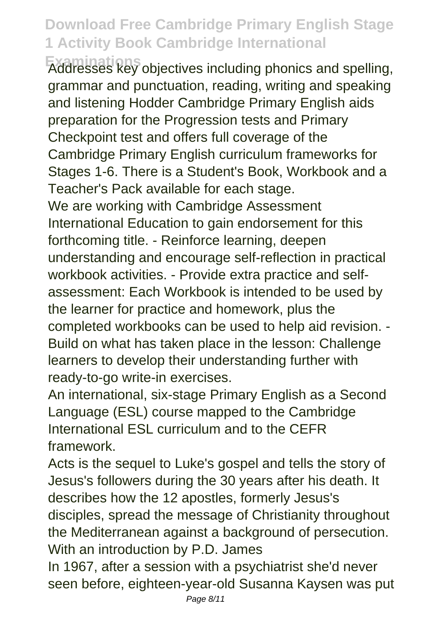**Examinations** Addresses key objectives including phonics and spelling, grammar and punctuation, reading, writing and speaking and listening Hodder Cambridge Primary English aids preparation for the Progression tests and Primary Checkpoint test and offers full coverage of the Cambridge Primary English curriculum frameworks for Stages 1-6. There is a Student's Book, Workbook and a Teacher's Pack available for each stage. We are working with Cambridge Assessment International Education to gain endorsement for this forthcoming title. - Reinforce learning, deepen understanding and encourage self-reflection in practical workbook activities. - Provide extra practice and selfassessment: Each Workbook is intended to be used by the learner for practice and homework, plus the

completed workbooks can be used to help aid revision. - Build on what has taken place in the lesson: Challenge learners to develop their understanding further with ready-to-go write-in exercises.

An international, six-stage Primary English as a Second Language (ESL) course mapped to the Cambridge International ESL curriculum and to the CEFR framework.

Acts is the sequel to Luke's gospel and tells the story of Jesus's followers during the 30 years after his death. It describes how the 12 apostles, formerly Jesus's disciples, spread the message of Christianity throughout the Mediterranean against a background of persecution. With an introduction by P.D. James

In 1967, after a session with a psychiatrist she'd never seen before, eighteen-year-old Susanna Kaysen was put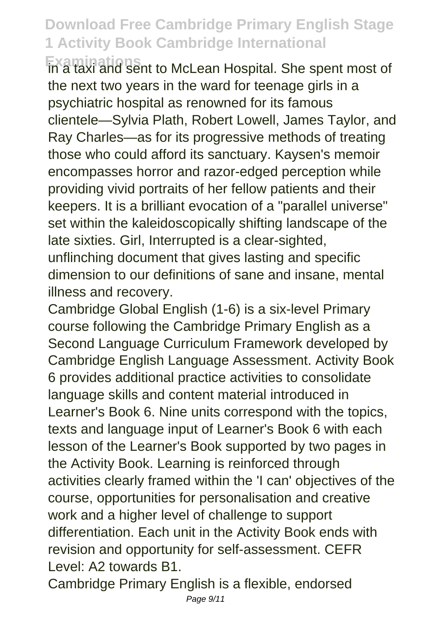**Examinations**<br>In a taxi and sent to McLean Hospital. She spent most of the next two years in the ward for teenage girls in a psychiatric hospital as renowned for its famous clientele—Sylvia Plath, Robert Lowell, James Taylor, and Ray Charles—as for its progressive methods of treating those who could afford its sanctuary. Kaysen's memoir encompasses horror and razor-edged perception while providing vivid portraits of her fellow patients and their keepers. It is a brilliant evocation of a "parallel universe" set within the kaleidoscopically shifting landscape of the late sixties. Girl, Interrupted is a clear-sighted,

unflinching document that gives lasting and specific dimension to our definitions of sane and insane, mental illness and recovery.

Cambridge Global English (1-6) is a six-level Primary course following the Cambridge Primary English as a Second Language Curriculum Framework developed by Cambridge English Language Assessment. Activity Book 6 provides additional practice activities to consolidate language skills and content material introduced in Learner's Book 6. Nine units correspond with the topics, texts and language input of Learner's Book 6 with each lesson of the Learner's Book supported by two pages in the Activity Book. Learning is reinforced through activities clearly framed within the 'I can' objectives of the course, opportunities for personalisation and creative work and a higher level of challenge to support differentiation. Each unit in the Activity Book ends with revision and opportunity for self-assessment. CEFR Level: A2 towards B1.

Cambridge Primary English is a flexible, endorsed Page 9/11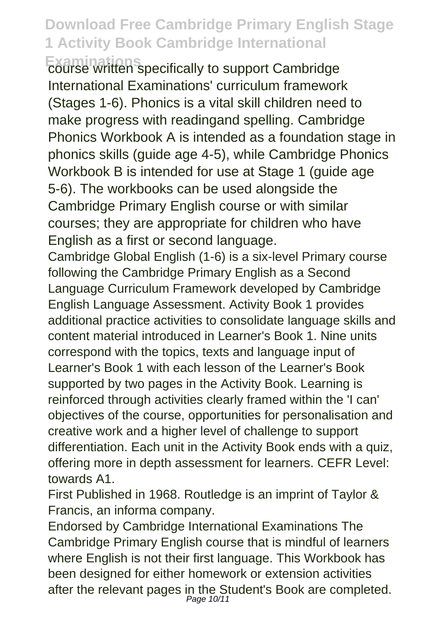**Examinations** pecifically to support Cambridge International Examinations' curriculum framework (Stages 1-6). Phonics is a vital skill children need to make progress with readingand spelling. Cambridge Phonics Workbook A is intended as a foundation stage in phonics skills (guide age 4-5), while Cambridge Phonics Workbook B is intended for use at Stage 1 (guide age 5-6). The workbooks can be used alongside the Cambridge Primary English course or with similar courses; they are appropriate for children who have English as a first or second language.

Cambridge Global English (1-6) is a six-level Primary course following the Cambridge Primary English as a Second Language Curriculum Framework developed by Cambridge English Language Assessment. Activity Book 1 provides additional practice activities to consolidate language skills and content material introduced in Learner's Book 1. Nine units correspond with the topics, texts and language input of Learner's Book 1 with each lesson of the Learner's Book supported by two pages in the Activity Book. Learning is reinforced through activities clearly framed within the 'I can' objectives of the course, opportunities for personalisation and creative work and a higher level of challenge to support differentiation. Each unit in the Activity Book ends with a quiz, offering more in depth assessment for learners. CEFR Level: towards A1.

First Published in 1968. Routledge is an imprint of Taylor & Francis, an informa company.

Endorsed by Cambridge International Examinations The Cambridge Primary English course that is mindful of learners where English is not their first language. This Workbook has been designed for either homework or extension activities after the relevant pages in the Student's Book are completed.<br>
<sub>Page 10/11</sub>